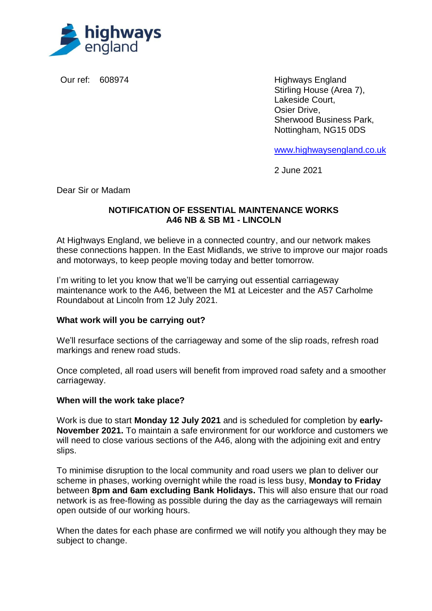

Our ref: 608974 Highways England Stirling House (Area 7), Lakeside Court, Osier Drive, Sherwood Business Park, Nottingham, NG15 0DS

[www.highwaysengland.co.uk](http://www.highwaysengland.co.uk/)

2 June 2021

Dear Sir or Madam

### **NOTIFICATION OF ESSENTIAL MAINTENANCE WORKS A46 NB & SB M1 - LINCOLN**

At Highways England, we believe in a connected country, and our network makes these connections happen. In the East Midlands, we strive to improve our major roads and motorways, to keep people moving today and better tomorrow.

I'm writing to let you know that we'll be carrying out essential carriageway maintenance work to the A46, between the M1 at Leicester and the A57 Carholme Roundabout at Lincoln from 12 July 2021.

## **What work will you be carrying out?**

We'll resurface sections of the carriageway and some of the slip roads, refresh road markings and renew road studs.

Once completed, all road users will benefit from improved road safety and a smoother carriageway.

#### **When will the work take place?**

Work is due to start **Monday 12 July 2021** and is scheduled for completion by **early-November 2021.** To maintain a safe environment for our workforce and customers we will need to close various sections of the A46, along with the adioining exit and entry slips.

To minimise disruption to the local community and road users we plan to deliver our scheme in phases, working overnight while the road is less busy, **Monday to Friday** between **8pm and 6am excluding Bank Holidays.** This will also ensure that our road network is as free-flowing as possible during the day as the carriageways will remain open outside of our working hours.

When the dates for each phase are confirmed we will notify you although they may be subject to change.